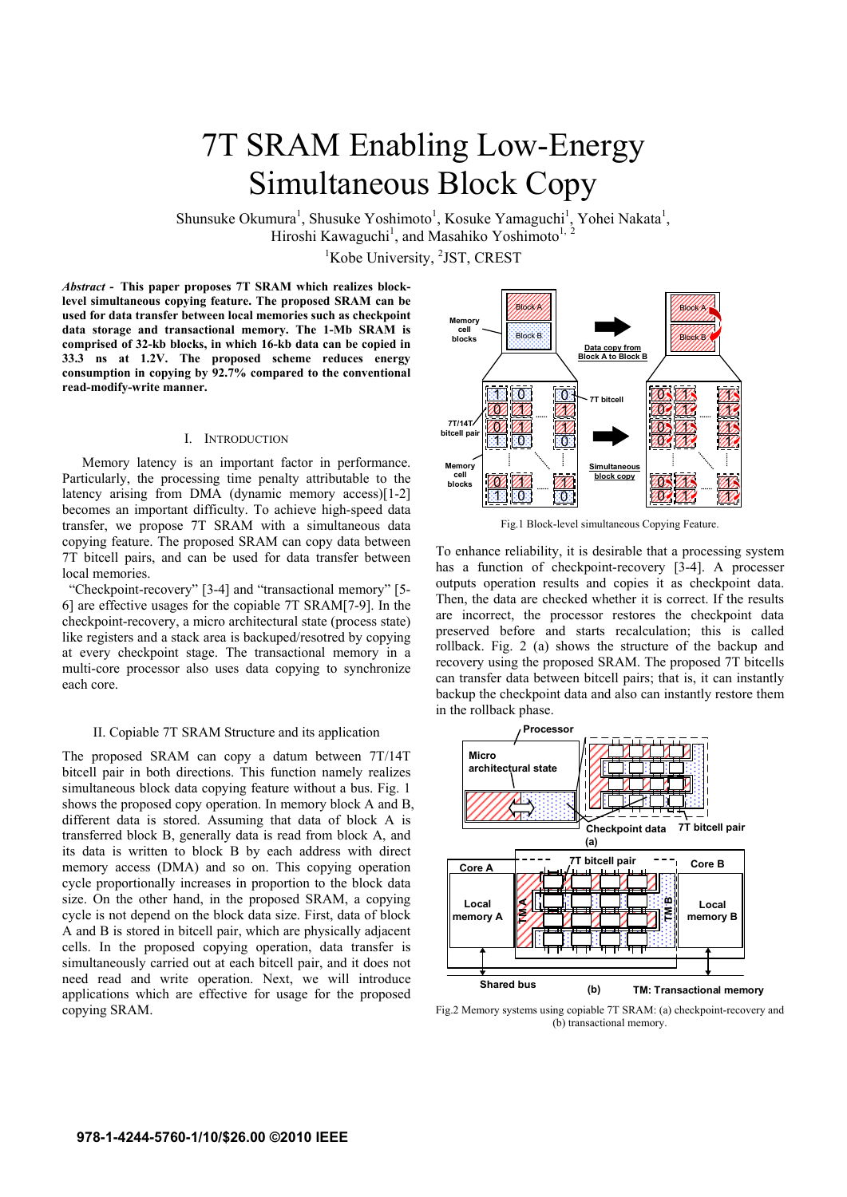# 7T SRAM Enabling Low-Energy Simultaneous Block Copy

Shunsuke Okumura<sup>1</sup>, Shusuke Yoshimoto<sup>1</sup>, Kosuke Yamaguchi<sup>1</sup>, Yohei Nakata<sup>1</sup>, Hiroshi Kawaguchi<sup>1</sup>, and Masahiko Yoshimoto<sup>1, 2</sup>

<sup>1</sup>Kobe University, <sup>2</sup>JST, CREST

*Abstract* **- This paper proposes 7T SRAM which realizes blocklevel simultaneous copying feature. The proposed SRAM can be used for data transfer between local memories such as checkpoint data storage and transactional memory. The 1-Mb SRAM is comprised of 32-kb blocks, in which 16-kb data can be copied in 33.3 ns at 1.2V. The proposed scheme reduces energy consumption in copying by 92.7% compared to the conventional read-modify-write manner.** 

# I. INTRODUCTION

 Memory latency is an important factor in performance. Particularly, the processing time penalty attributable to the latency arising from DMA (dynamic memory access)[1-2] becomes an important difficulty. To achieve high-speed data transfer, we propose 7T SRAM with a simultaneous data copying feature. The proposed SRAM can copy data between 7T bitcell pairs, and can be used for data transfer between local memories.

"Checkpoint-recovery" [3-4] and "transactional memory" [5- 6] are effective usages for the copiable 7T SRAM[7-9]. In the checkpoint-recovery, a micro architectural state (process state) like registers and a stack area is backuped/resotred by copying at every checkpoint stage. The transactional memory in a multi-core processor also uses data copying to synchronize each core.

## II. Copiable 7T SRAM Structure and its application

The proposed SRAM can copy a datum between 7T/14T bitcell pair in both directions. This function namely realizes simultaneous block data copying feature without a bus. Fig. 1 shows the proposed copy operation. In memory block A and B, different data is stored. Assuming that data of block A is transferred block B, generally data is read from block A, and its data is written to block B by each address with direct memory access (DMA) and so on. This copying operation cycle proportionally increases in proportion to the block data size. On the other hand, in the proposed SRAM, a copying cycle is not depend on the block data size. First, data of block A and B is stored in bitcell pair, which are physically adjacent cells. In the proposed copying operation, data transfer is simultaneously carried out at each bitcell pair, and it does not need read and write operation. Next, we will introduce applications which are effective for usage for the proposed copying SRAM.



Fig.1 Block-level simultaneous Copying Feature.

To enhance reliability, it is desirable that a processing system has a function of checkpoint-recovery [3-4]. A processer outputs operation results and copies it as checkpoint data. Then, the data are checked whether it is correct. If the results are incorrect, the processor restores the checkpoint data preserved before and starts recalculation; this is called rollback. Fig. 2 (a) shows the structure of the backup and recovery using the proposed SRAM. The proposed 7T bitcells can transfer data between bitcell pairs; that is, it can instantly backup the checkpoint data and also can instantly restore them in the rollback phase.



Fig.2 Memory systems using copiable 7T SRAM: (a) checkpoint-recovery and (b) transactional memory.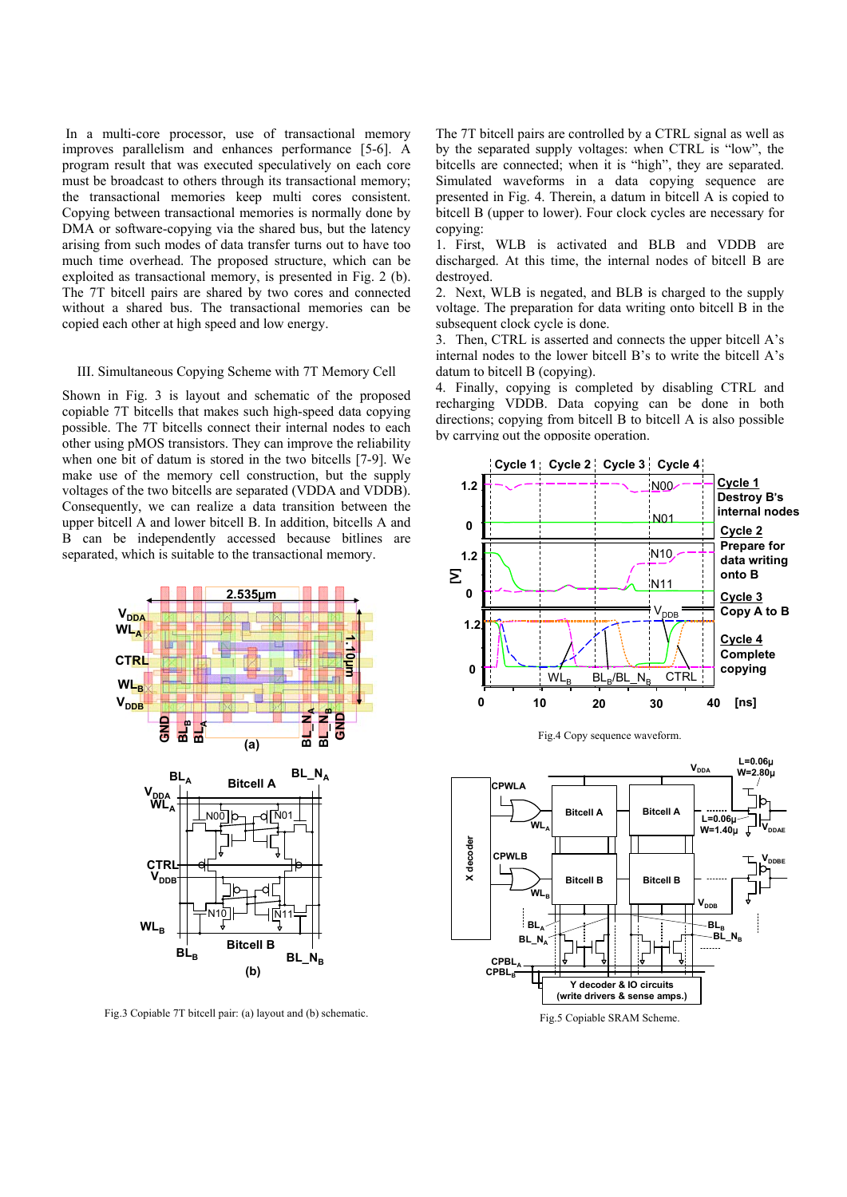In a multi-core processor, use of transactional memory improves parallelism and enhances performance [5-6]. A program result that was executed speculatively on each core must be broadcast to others through its transactional memory; the transactional memories keep multi cores consistent. Copying between transactional memories is normally done by DMA or software-copying via the shared bus, but the latency arising from such modes of data transfer turns out to have too much time overhead. The proposed structure, which can be exploited as transactional memory, is presented in Fig. 2 (b). The 7T bitcell pairs are shared by two cores and connected without a shared bus. The transactional memories can be copied each other at high speed and low energy.

# III. Simultaneous Copying Scheme with 7T Memory Cell

Shown in Fig. 3 is layout and schematic of the proposed copiable 7T bitcells that makes such high-speed data copying possible. The 7T bitcells connect their internal nodes to each other using pMOS transistors. They can improve the reliability when one bit of datum is stored in the two bitcells [7-9]. We make use of the memory cell construction, but the supply voltages of the two bitcells are separated (VDDA and VDDB). Consequently, we can realize a data transition between the upper bitcell A and lower bitcell B. In addition, bitcells A and B can be independently accessed because bitlines are separated, which is suitable to the transactional memory.



Fig.3 Copiable 7T bitcell pair: (a) layout and (b) schematic.

The 7T bitcell pairs are controlled by a CTRL signal as well as by the separated supply voltages: when CTRL is "low", the bitcells are connected; when it is "high", they are separated. Simulated waveforms in a data copying sequence are presented in Fig. 4. Therein, a datum in bitcell A is copied to bitcell B (upper to lower). Four clock cycles are necessary for copying:

1. First, WLB is activated and BLB and VDDB are discharged. At this time, the internal nodes of bitcell B are destroyed.

2. Next, WLB is negated, and BLB is charged to the supply voltage. The preparation for data writing onto bitcell B in the subsequent clock cycle is done.

3. Then, CTRL is asserted and connects the upper bitcell A's internal nodes to the lower bitcell B's to write the bitcell A's datum to bitcell B (copying).

4. Finally, copying is completed by disabling CTRL and recharging VDDB. Data copying can be done in both directions; copying from bitcell B to bitcell A is also possible by carrying out the opposite operation.



Fig.4 Copy sequence waveform.



Fig.5 Copiable SRAM Scheme.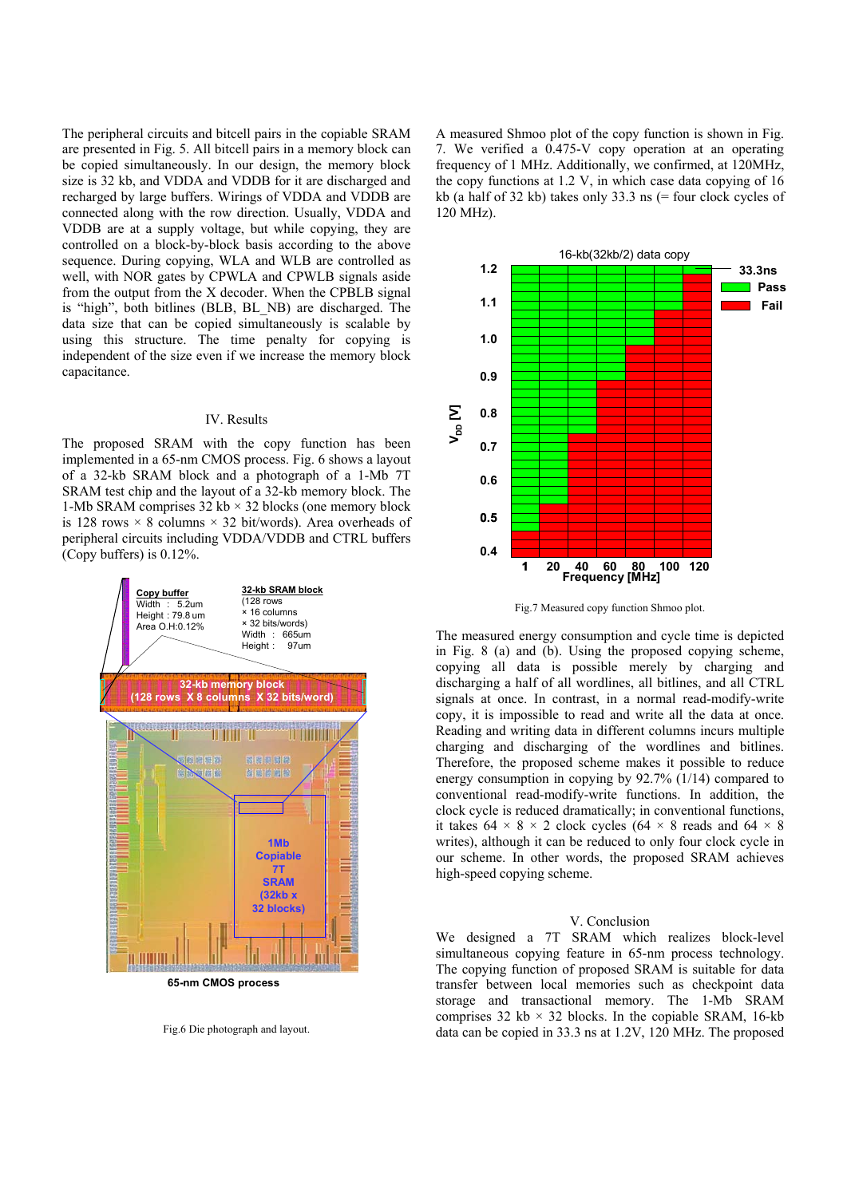The peripheral circuits and bitcell pairs in the copiable SRAM are presented in Fig. 5. All bitcell pairs in a memory block can be copied simultaneously. In our design, the memory block size is 32 kb, and VDDA and VDDB for it are discharged and recharged by large buffers. Wirings of VDDA and VDDB are connected along with the row direction. Usually, VDDA and VDDB are at a supply voltage, but while copying, they are controlled on a block-by-block basis according to the above sequence. During copying, WLA and WLB are controlled as well, with NOR gates by CPWLA and CPWLB signals aside from the output from the X decoder. When the CPBLB signal is "high", both bitlines (BLB, BL\_NB) are discharged. The data size that can be copied simultaneously is scalable by using this structure. The time penalty for copying is independent of the size even if we increase the memory block capacitance.

## IV. Results

The proposed SRAM with the copy function has been implemented in a 65-nm CMOS process. Fig. 6 shows a layout of a 32-kb SRAM block and a photograph of a 1-Mb 7T SRAM test chip and the layout of a 32-kb memory block. The 1-Mb SRAM comprises  $32 \text{ kb} \times 32 \text{ blocks}$  (one memory block is 128 rows  $\times$  8 columns  $\times$  32 bit/words). Area overheads of peripheral circuits including VDDA/VDDB and CTRL buffers (Copy buffers) is 0.12%.



**65-nm CMOS process** 

Fig.6 Die photograph and layout.

A measured Shmoo plot of the copy function is shown in Fig. 7. We verified a 0.475-V copy operation at an operating frequency of 1 MHz. Additionally, we confirmed, at 120MHz, the copy functions at 1.2 V, in which case data copying of 16 kb (a half of 32 kb) takes only 33.3 ns (= four clock cycles of 120 MHz).



Fig.7 Measured copy function Shmoo plot.

The measured energy consumption and cycle time is depicted in Fig. 8 (a) and (b). Using the proposed copying scheme, copying all data is possible merely by charging and discharging a half of all wordlines, all bitlines, and all CTRL signals at once. In contrast, in a normal read-modify-write copy, it is impossible to read and write all the data at once. Reading and writing data in different columns incurs multiple charging and discharging of the wordlines and bitlines. Therefore, the proposed scheme makes it possible to reduce energy consumption in copying by 92.7% (1/14) compared to conventional read-modify-write functions. In addition, the clock cycle is reduced dramatically; in conventional functions, it takes  $64 \times 8 \times 2$  clock cycles  $(64 \times 8 \text{ reads and } 64 \times 8$ writes), although it can be reduced to only four clock cycle in our scheme. In other words, the proposed SRAM achieves high-speed copying scheme.

# V. Conclusion

We designed a 7T SRAM which realizes block-level simultaneous copying feature in 65-nm process technology. The copying function of proposed SRAM is suitable for data transfer between local memories such as checkpoint data storage and transactional memory. The 1-Mb SRAM comprises 32 kb  $\times$  32 blocks. In the copiable SRAM, 16-kb data can be copied in 33.3 ns at 1.2V, 120 MHz. The proposed